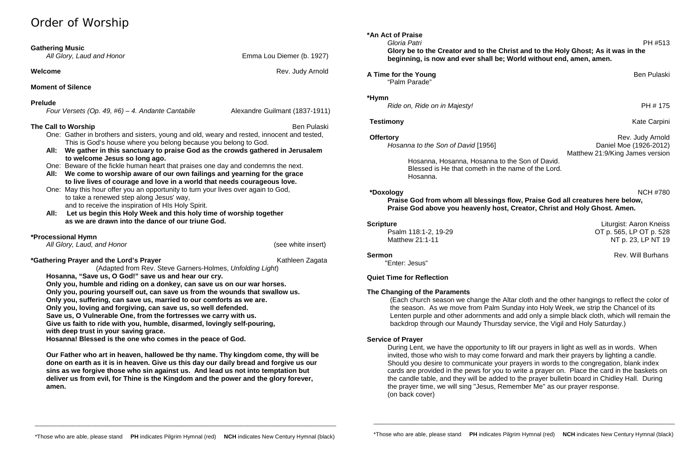# Order of Worship

| <b>Gathering Music</b><br>All Glory, Laud and Honor | Emma Lou Diemer (b. 1927) |
|-----------------------------------------------------|---------------------------|
| Welcome                                             | Rev. Judy Arnold          |
| <b>Moment of Silence</b>                            |                           |
| <b>Prelude</b>                                      |                           |

*Four Versets (Op. 49, #6) – 4. Andante Cantabile* Alexandre Guilmant (1837-1911)

### **The Call to Worship** Ben Pulaski

One: Gather in brothers and sisters, young and old, weary and rested, innocent and tested, This is God's house where you belong because you belong to God.

- **All: We gather in this sanctuary to praise God as the crowds gathered in Jerusalem to welcome Jesus so long ago.**
- One: Beware of the fickle human heart that praises one day and condemns the next.
- **All: We come to worship aware of our own failings and yearning for the grace to live lives of courage and love in a world that needs courageous love.**
- One: May this hour offer you an opportunity to turn your lives over again to God, to take a renewed step along Jesus' way, and to receive the inspiration of HIs Holy Spirit.
- **All: Let us begin this Holy Week and this holy time of worship together as we are drawn into the dance of our triune God.**

### **\*Processional Hymn**

 *All Glory, Laud, and Honor* (see white insert)

**A Time for the Young Ben Pulaski** Ben Pulaski "Palm Parade"

**Offertory Rev. Judy Arnold Rev. Judy Arnold** Matthew 21:9/King James version

**\*Gathering Prayer and the Lord's Prayer** Kathleen Zagata (Adapted from Rev. Steve Garners-Holmes, *Unfolding Light*) **Hosanna, "Save us, O God!" save us and hear our cry. Only you, humble and riding on a donkey, can save us on our war horses. Only you, pouring yourself out, can save us from the wounds that swallow us. Only you, suffering, can save us, married to our comforts as we are. Only you, loving and forgiving, can save us, so well defended. Save us, O Vulnerable One, from the fortresses we carry with us. Give us faith to ride with you, humble, disarmed, lovingly self-pouring,**

**Scripture** Liturgist: Aaron Kneiss Psalm 118:1-2, 19-29 OT p. 565, LP OT p. 528 Matthew 21:1-11 NT p. 23, LP NT 19

**Sermon** Rev. Will Burhans

**with deep trust in your saving grace.**

**Hosanna! Blessed is the one who comes in the peace of God.** 

**Our Father who art in heaven, hallowed be thy name. Thy kingdom come, thy will be done on earth as it is in heaven. Give us this day our daily bread and forgive us our sins as we forgive those who sin against us. And lead us not into temptation but deliver us from evil, for Thine is the Kingdom and the power and the glory forever, amen.**

**\*An Act of Praise**

 *Gloria Patri* PH #513 **Glory be to the Creator and to the Christ and to the Holy Ghost; As it was in the beginning, is now and ever shall be; World without end, amen, amen.**

#### **\*Hymn**

*Ride on, Ride on in Majesty!* **PH # 175** 

*Hosanna to the Son of David* [1956] *Daniel Moe (1926-2012) Daniel Moe (1926-2012)* 

Hosanna, Hosanna, Hosanna to the Son of David. Blessed is He that cometh in the name of the Lord. Hosanna.

**\*Doxology** NCH #780 **Praise God from whom all blessings flow, Praise God all creatures here below, Praise God above you heavenly host, Creator, Christ and Holy Ghost. Amen.**

"Enter: Jesus"

### **Quiet Time for Reflection**

### **The Changing of the Paraments**

(Each church season we change the Altar cloth and the other hangings to reflect the color of the season. As we move from Palm Sunday into Holy Week, we strip the Chancel of its Lenten purple and other adornments and add only a simple black cloth, which will remain the backdrop through our Maundy Thursday service, the Vigil and Holy Saturday.)

### **Service of Prayer**

During Lent, we have the opportunity to lift our prayers in light as well as in words. When invited, those who wish to may come forward and mark their prayers by lighting a candle. Should you desire to communicate your prayers in words to the congregation, blank index cards are provided in the pews for you to write a prayer on. Place the card in the baskets on the candle table, and they will be added to the prayer bulletin board in Chidley Hall. During the prayer time, we will sing "Jesus, Remember Me" as our prayer response. (on back cover)

\_\_\_\_\_\_\_\_\_\_\_\_\_\_\_\_\_\_\_\_\_\_\_\_\_\_\_\_\_\_\_\_\_\_\_\_\_\_\_\_\_\_\_\_\_\_\_\_\_\_\_\_\_\_\_\_\_\_\_\_\_\_\_\_\_\_\_\_\_\_\_\_\_\_\_\_\_\_\_\_\_\_\_\_\_\_\_\_\_\_\_\_\_\_\_

**Testimony** Kate Carpini

\_\_\_\_\_\_\_\_\_\_\_\_\_\_\_\_\_\_\_\_\_\_\_\_\_\_\_\_\_\_\_\_\_\_\_\_\_\_\_\_\_\_\_\_\_\_\_\_\_\_\_\_\_\_\_\_\_\_\_\_\_\_\_\_\_\_\_\_\_\_\_\_\_\_\_\_\_\_\_\_\_\_\_\_\_\_\_\_\_\_\_\_\_\_\_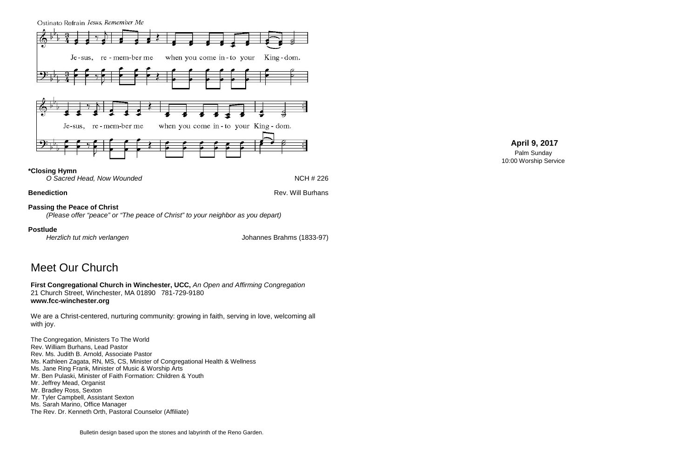Ostinato Refrain Jesus, Remember Me Je-sus, re-mem-ber me when you come in-to your King-dom. Je-sus, re-mem-ber me when you come in-to your King-dom.

### **\*Closing Hymn**

*O Sacred Head, Now Wounded* **NCH # 226** 

**Benediction** Rev. Will Burhans

### **Passing the Peace of Christ**

*(Please offer "peace" or "The peace of Christ" to your neighbor as you depart)*

### **Postlude**

*Herzlich tut mich verlangen* Johannes Brahms (1833-97)

# Meet Our Church

**First Congregational Church in Winchester, UCC,** *An Open and Affirming Congregation* 21 Church Street, Winchester, MA 01890 781-729-9180 **www.fcc-winchester.org**

We are a Christ-centered, nurturing community: growing in faith, serving in love, welcoming all with joy.

The Congregation, Ministers To The World Rev. William Burhans, Lead Pastor Rev. Ms. Judith B. Arnold, Associate Pastor Ms. Kathleen Zagata, RN, MS, CS, Minister of Congregational Health & Wellness Ms. Jane Ring Frank, Minister of Music & Worship Arts Mr. Ben Pulaski, Minister of Faith Formation: Children & Youth Mr. Jeffrey Mead, Organist Mr. Bradley Ross, Sexton Mr. Tyler Campbell, Assistant Sexton Ms. Sarah Marino, Office Manager The Rev. Dr. Kenneth Orth, Pastoral Counselor (Affiliate)

## **April 9, 2017**

Palm Sunday 10:00 Worship Service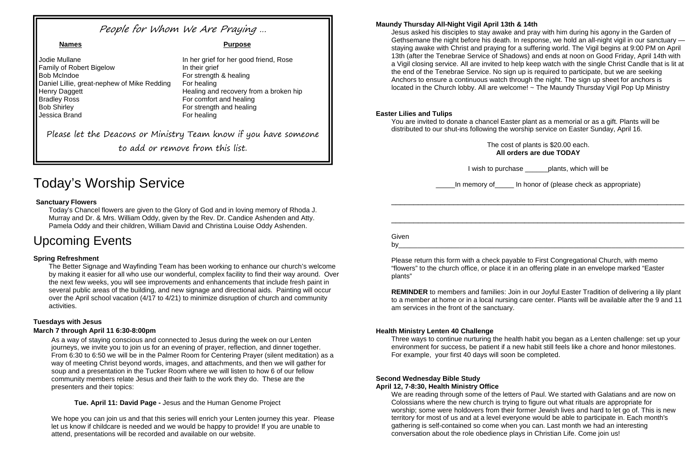# Today's Worship Service

### **Sanctuary Flowers**

Today's Chancel flowers are given to the Glory of God and in loving memory of Rhoda J. Murray and Dr. & Mrs. William Oddy, given by the Rev. Dr. Candice Ashenden and Atty. Pamela Oddy and their children, William David and Christina Louise Oddy Ashenden.

# Upcoming Events

### **Spring Refreshment**

The Better Signage and Wayfinding Team has been working to enhance our church's welcome by making it easier for all who use our wonderful, complex facility to find their way around. Over the next few weeks, you will see improvements and enhancements that include fresh paint in several public areas of the building, and new signage and directional aids. Painting will occur over the April school vacation (4/17 to 4/21) to minimize disruption of church and community activities.

### **Tuesdays with Jesus**

#### **March 7 through April 11 6:30-8:00pm**

Jesus asked his disciples to stay awake and pray with him during his agony in the Garden of Gethsemane the night before his death. In response, we hold an all-night vigil in our sanctuary staying awake with Christ and praying for a suffering world. The Vigil begins at 9:00 PM on April 13th (after the Tenebrae Service of Shadows) and ends at noon on Good Friday, April 14th with a Vigil closing service. All are invited to help keep watch with the single Christ Candle that is lit at the end of the Tenebrae Service. No sign up is required to participate, but we are seeking Anchors to ensure a continuous watch through the night. The sign up sheet for anchors is located in the Church lobby. All are welcome! ~ The Maundy Thursday Vigil Pop Up Ministry

As a way of staying conscious and connected to Jesus during the week on our Lenten journeys, we invite you to join us for an evening of prayer, reflection, and dinner together. From 6:30 to 6:50 we will be in the Palmer Room for Centering Prayer (silent meditation) as a way of meeting Christ beyond words, images, and attachments, and then we will gather for soup and a presentation in the Tucker Room where we will listen to how 6 of our fellow community members relate Jesus and their faith to the work they do. These are the presenters and their topics:

**Tue. April 11: David Page -** Jesus and the Human Genome Project

**Given** by\_\_\_\_\_\_\_\_\_\_\_\_\_\_\_\_\_\_\_\_\_\_\_\_\_\_\_\_\_\_\_\_\_\_\_\_\_\_\_\_\_\_\_\_\_\_\_\_\_\_\_\_\_\_\_\_\_\_\_\_\_\_\_\_\_\_\_\_\_\_\_\_\_\_\_

We hope you can join us and that this series will enrich your Lenten journey this year. Please let us know if childcare is needed and we would be happy to provide! If you are unable to attend, presentations will be recorded and available on our website.

#### **Maundy Thursday All-Night Vigil April 13th & 14th**

Jodie Mullane In her grief for her good friend, Rose Family of Robert Bigelow In their grief Bob McIndoe **For strength & healing** Daniel Lillie, great-nephew of Mike Redding For healing Henry Daggett **Healing and recovery from a broken hip**<br>Bradley Ross **Healing and recovery from a broken hip**<br>For comfort and healing Bob Shirley **For strength and healing** Jessica Brand For healing

#### **Names Purpose**

For comfort and healing

#### **Easter Lilies and Tulips**

You are invited to donate a chancel Easter plant as a memorial or as a gift. Plants will be distributed to our shut-ins following the worship service on Easter Sunday, April 16.

I wish to purchase plants, which will be

The cost of plants is \$20.00 each. **All orders are due TODAY**

\_\_\_\_\_In memory of\_\_\_\_\_ In honor of (please check as appropriate)

\_\_\_\_\_\_\_\_\_\_\_\_\_\_\_\_\_\_\_\_\_\_\_\_\_\_\_\_\_\_\_\_\_\_\_\_\_\_\_\_\_\_\_\_\_\_\_\_\_\_\_\_\_\_\_\_\_\_\_\_\_\_\_\_\_\_

\_\_\_\_\_\_\_\_\_\_\_\_\_\_\_\_\_\_\_\_\_\_\_\_\_\_\_\_\_\_\_\_\_\_\_\_\_\_\_\_\_\_\_\_\_\_\_\_\_\_\_\_\_\_\_\_\_\_\_\_\_\_\_\_\_\_

Please return this form with a check payable to First Congregational Church, with memo "flowers" to the church office, or place it in an offering plate in an envelope marked "Easter plants"

**REMINDER** to members and families: Join in our Joyful Easter Tradition of delivering a lily plant to a member at home or in a local nursing care center. Plants will be available after the 9 and 11 am services in the front of the sanctuary.

#### **Health Ministry Lenten 40 Challenge**

Three ways to continue nurturing the health habit you began as a Lenten challenge: set up your environment for success, be patient if a new habit still feels like a chore and honor milestones. For example, your first 40 days will soon be completed.

#### **Second Wednesday Bible Study April 12, 7-8:30, Health Ministry Office**

We are reading through some of the letters of Paul. We started with Galatians and are now on Colossians where the new church is trying to figure out what rituals are appropriate for worship; some were holdovers from their former Jewish lives and hard to let go of. This is new territory for most of us and at a level everyone would be able to participate in. Each month's gathering is self-contained so come when you can. Last month we had an interesting conversation about the role obedience plays in Christian Life. Come join us!

# People for Whom We Are Praying …

Please let the Deacons or Ministry Team know if you have someone

to add or remove from this list.